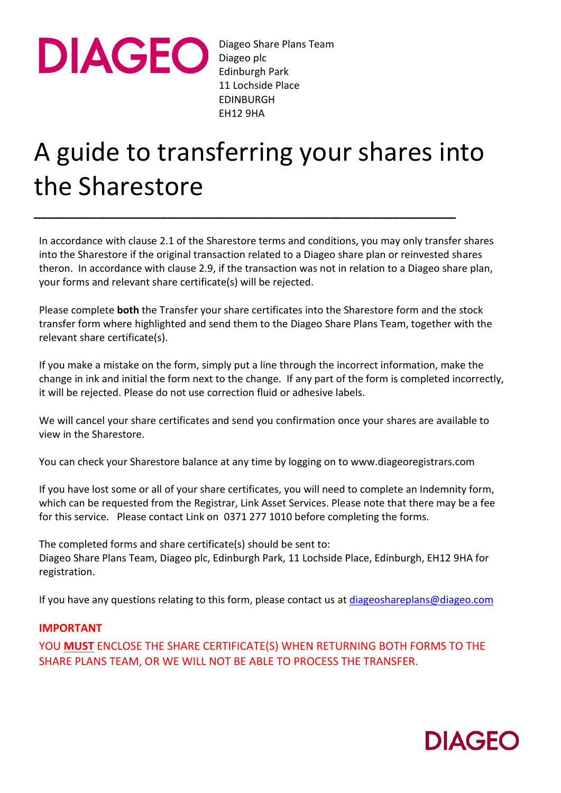

Diageo Share Plans Team Diageo plc Edinburgh Park 11 Lochside Place EDINBURGH EH12 9HA

## A guide to transferring your shares into the Sharestore

**\_\_\_\_\_\_\_\_\_\_\_\_\_\_\_\_\_\_\_\_\_\_\_\_\_\_\_\_\_\_\_\_\_\_\_\_\_\_\_\_\_\_\_\_\_\_\_\_\_\_\_\_\_\_\_\_\_\_\_\_**

In accordance with clause 2.1 of the Sharestore terms and conditions, you may only transfer shares into the Sharestore if the original transaction related to a Diageo share plan or reinvested shares theron. In accordance with clause 2.9, if the transaction was not in relation to a Diageo share plan, your forms and relevant share certificate(s) will be rejected.

Please complete **both** the Transfer your share certificates into the Sharestore form and the stock transfer form where highlighted and send them to the Diageo Share Plans Team, together with the relevant share certificate(s).

If you make a mistake on the form, simply put a line through the incorrect information, make the change in ink and initial the form next to the change. If any part of the form is completed incorrectly, it will be rejected. Please do not use correction fluid or adhesive labels.

We will cancel your share certificates and send you confirmation once your shares are available to view in the Sharestore.

You can check your Sharestore balance at any time by logging on to www.diageoregistrars.com

If you have lost some or all of your share certificates, you will need to complete an Indemnity form, which can be requested from the Registrar, Link Asset Services. Please note that there may be a fee for this service. Please contact Link on 0371 277 1010 before completing the forms.

The completed forms and share certificate(s) should be sent to: Diageo Share Plans Team, Diageo plc, Edinburgh Park, 11 Lochside Place, Edinburgh, EH12 9HA for registration.

If you have any questions relating to this form, please contact us a[t diageoshareplans@diageo.com](mailto:diageoshareplans@diageo.com)

## **IMPORTANT**

YOU **MUST** ENCLOSE THE SHARE CERTIFICATE(S) WHEN RETURNING BOTH FORMS TO THE SHARE PLANS TEAM, OR WE WILL NOT BE ABLE TO PROCESS THE TRANSFER.

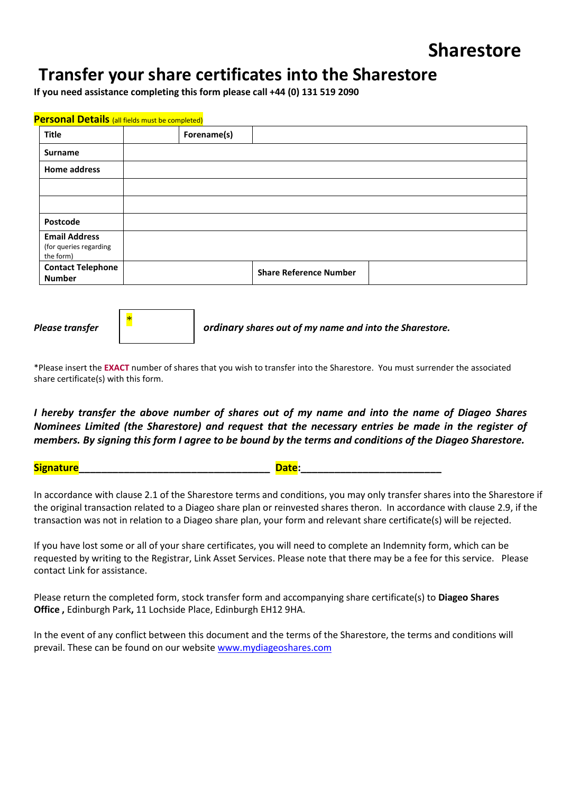## **Transfer your share certificates into the Sharestore**

**If you need assistance completing this form please call +44 (0) 131 519 2090**

| <b>Personal Details</b> (all fields must be completed)      |                               |  |  |  |  |
|-------------------------------------------------------------|-------------------------------|--|--|--|--|
| Title                                                       | Forename(s)                   |  |  |  |  |
| <b>Surname</b>                                              |                               |  |  |  |  |
| <b>Home address</b>                                         |                               |  |  |  |  |
|                                                             |                               |  |  |  |  |
|                                                             |                               |  |  |  |  |
| Postcode                                                    |                               |  |  |  |  |
| <b>Email Address</b><br>(for queries regarding<br>the form) |                               |  |  |  |  |
| <b>Contact Telephone</b><br><b>Number</b>                   | <b>Share Reference Number</b> |  |  |  |  |



*Please transfer ordinary shares out of my name and into the Sharestore.*

\*Please insert the **EXACT** number of shares that you wish to transfer into the Sharestore. You must surrender the associated share certificate(s) with this form.

*I hereby transfer the above number of shares out of my name and into the name of Diageo Shares Nominees Limited (the Sharestore) and request that the necessary entries be made in the register of members. By signing this form I agree to be bound by the terms and conditions of the Diageo Sharestore.*

**Signature\_\_\_\_\_\_\_\_\_\_\_\_\_\_\_\_\_\_\_\_\_\_\_\_\_\_\_\_\_\_\_\_\_\_ Date:\_\_\_\_\_\_\_\_\_\_\_\_\_\_\_\_\_\_\_\_\_\_\_\_\_**

In accordance with clause 2.1 of the Sharestore terms and conditions, you may only transfer shares into the Sharestore if the original transaction related to a Diageo share plan or reinvested shares theron. In accordance with clause 2.9, if the transaction was not in relation to a Diageo share plan, your form and relevant share certificate(s) will be rejected.

If you have lost some or all of your share certificates, you will need to complete an Indemnity form, which can be requested by writing to the Registrar, Link Asset Services. Please note that there may be a fee for this service. Please contact Link for assistance.

Please return the completed form, stock transfer form and accompanying share certificate(s) to **Diageo Shares Office ,** Edinburgh Park**,** 11 Lochside Place, Edinburgh EH12 9HA.

In the event of any conflict between this document and the terms of the Sharestore, the terms and conditions will prevail. These can be found on our website [www.mydiageoshares.com](file://///EPKSFSS001.diageo.net/dfs.link.Shared%20Data$/Share%20Registration/Shares%20Office/Department/1.%20Procedures%20and%20Training%20materials/Procedures/Forms/Sharestore/www.mydiageoshares.com)